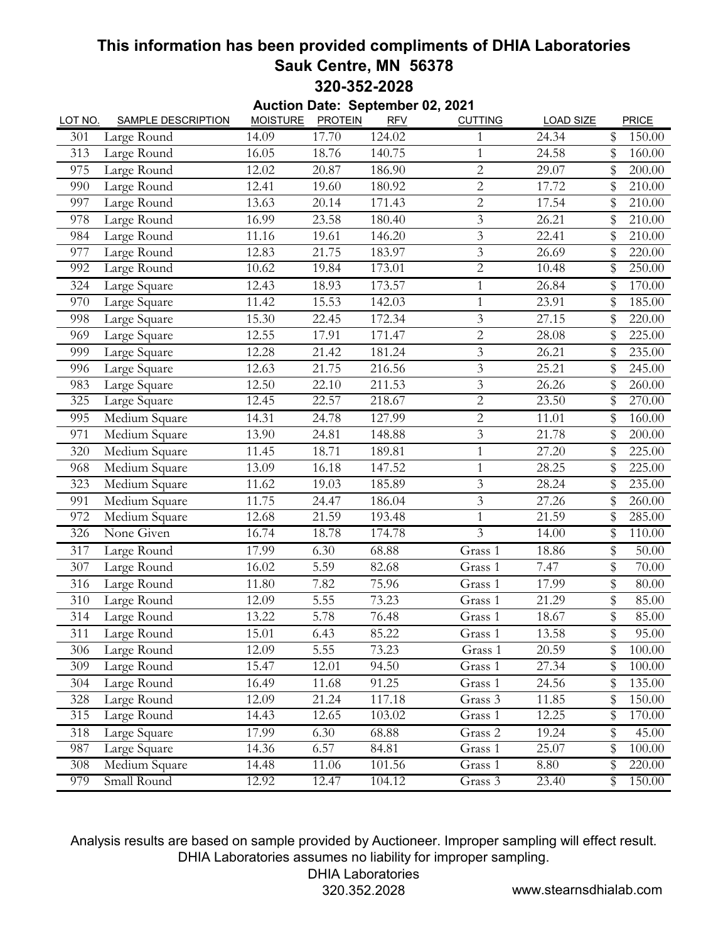## **This information has been provided compliments of DHIA Laboratories Sauk Centre, MN 56378 320-352-2028**

| <b>MOISTURE</b><br><b>PROTEIN</b><br><b>SAMPLE DESCRIPTION</b><br><b>RFV</b><br><b>CUTTING</b><br><b>LOAD SIZE</b><br>PRICE<br>LOT NO.<br>17.70<br>124.02<br>\$<br>14.09<br>24.34<br>150.00<br>301<br>Large Round<br>1<br>Large Round<br>16.05<br>18.76<br>140.75<br>24.58<br>313<br>$\mathbf{1}$<br>\$<br>160.00<br>$\overline{2}$<br>975<br>Large Round<br>12.02<br>20.87<br>186.90<br>29.07<br>200.00<br>\$<br>$\overline{2}$<br>\$<br>Large Round<br>12.41<br>19.60<br>180.92<br>17.72<br>210.00<br>990<br>$\overline{2}$<br>Large Round<br>13.63<br>171.43<br>17.54<br>\$<br>210.00<br>997<br>20.14<br>Large Round<br>16.99<br>23.58<br>180.40<br>3<br>26.21<br>210.00<br>978<br>\$<br>$\mathfrak{Z}$<br>146.20<br>\$<br>210.00<br>Large Round<br>11.16<br>19.61<br>22.41<br>984<br>$\mathfrak{Z}$<br>Large Round<br>21.75<br>12.83<br>183.97<br>26.69<br>\$<br>220.00<br>977<br>$\overline{2}$<br>Large Round<br>10.62<br>\$<br>250.00<br>19.84<br>173.01<br>10.48<br>992<br>173.57<br>12.43<br>26.84<br>170.00<br>Large Square<br>18.93<br>$\mathbf{1}$<br>\$<br>324<br>\$<br>$\mathbf{1}$<br>970<br>Large Square<br>11.42<br>15.53<br>142.03<br>23.91<br>185.00<br>$\mathfrak{Z}$<br>Large Square<br>15.30<br>22.45<br>172.34<br>27.15<br>220.00<br>998<br>\$<br>17.91<br>171.47<br>225.00<br>Large Square<br>12.55<br>$\overline{2}$<br>28.08<br>\$<br>969<br>$\overline{\mathbf{3}}$<br>Large Square<br>12.28<br>21.42<br>181.24<br>26.21<br>\$<br>235.00<br>999<br>$\mathfrak{Z}$<br>Large Square<br>12.63<br>21.75<br>216.56<br>25.21<br>245.00<br>996<br>\$<br>Large Square<br>12.50<br>22.10<br>211.53<br>3<br>26.26<br>\$<br>260.00<br>983<br>Large Square<br>$\mathbf{2}$<br>23.50<br>12.45<br>22.57<br>218.67<br>\$<br>270.00<br>325<br>$\overline{2}$<br>Medium Square<br>24.78<br>127.99<br>\$<br>160.00<br>995<br>14.31<br>11.01<br>Medium Square<br>13.90<br>24.81<br>148.88<br>$\mathfrak{Z}$<br>21.78<br>\$<br>200.00<br>971<br>Medium Square<br>11.45<br>$\mathbf{1}$<br>\$<br>225.00<br>320<br>18.71<br>189.81<br>27.20<br>Medium Square<br>13.09<br>16.18<br>147.52<br>$\mathbf{1}$<br>28.25<br>\$<br>225.00<br>968<br>Medium Square<br>185.89<br>$\overline{3}$<br>235.00<br>323<br>11.62<br>19.03<br>28.24<br>\$<br>Medium Square<br>11.75<br>$\mathfrak{Z}$<br>$\overline{27.26}$<br>24.47<br>186.04<br>\$<br>260.00<br>991<br>Medium Square<br>21.59<br>193.48<br>\$<br>285.00<br>972<br>12.68<br>$\mathbf{1}$<br>21.59<br>$\overline{3}$<br>None Given<br>16.74<br>18.78<br>174.78<br>14.00<br>110.00<br>326<br>\$<br>17.99<br>6.30<br>\$<br>Large Round<br>68.88<br>Grass 1<br>18.86<br>50.00<br>317<br>\$<br>Large Round<br>16.02<br>5.59<br>82.68<br>Grass 1<br>7.47<br>70.00<br>307<br>\$<br>Large Round<br>11.80<br>7.82<br>75.96<br>17.99<br>80.00<br>316<br>Grass 1<br>\$<br>5.55<br>73.23<br>Large Round<br>21.29<br>85.00<br>310<br>12.09<br>Grass 1<br>\$<br>Large Round<br>5.78<br>76.48<br>314<br>13.22<br>Grass 1<br>18.67<br>85.00<br>311<br>Large Round<br>15.01<br>6.43<br>85.22<br>Grass 1<br>13.58<br>\$<br>95.00<br>5.55<br>\$<br>Large Round<br>12.09<br>73.23<br>Grass 1<br>20.59<br>100.00<br>306<br>Large Round<br>309<br>15.47<br>12.01<br>94.50<br>Grass 1<br>27.34<br>\$<br>100.00<br>Large Round<br>16.49<br>91.25<br>24.56<br>135.00<br>304<br>11.68<br>Grass 1<br>\$<br>Large Round<br>12.09<br>21.24<br>117.18<br>\$<br>328<br>Grass 3<br>11.85<br>150.00 |     |             |       |       | Auction Date: September 02, 2021 |         |       |              |
|------------------------------------------------------------------------------------------------------------------------------------------------------------------------------------------------------------------------------------------------------------------------------------------------------------------------------------------------------------------------------------------------------------------------------------------------------------------------------------------------------------------------------------------------------------------------------------------------------------------------------------------------------------------------------------------------------------------------------------------------------------------------------------------------------------------------------------------------------------------------------------------------------------------------------------------------------------------------------------------------------------------------------------------------------------------------------------------------------------------------------------------------------------------------------------------------------------------------------------------------------------------------------------------------------------------------------------------------------------------------------------------------------------------------------------------------------------------------------------------------------------------------------------------------------------------------------------------------------------------------------------------------------------------------------------------------------------------------------------------------------------------------------------------------------------------------------------------------------------------------------------------------------------------------------------------------------------------------------------------------------------------------------------------------------------------------------------------------------------------------------------------------------------------------------------------------------------------------------------------------------------------------------------------------------------------------------------------------------------------------------------------------------------------------------------------------------------------------------------------------------------------------------------------------------------------------------------------------------------------------------------------------------------------------------------------------------------------------------------------------------------------------------------------------------------------------------------------------------------------------------------------------------------------------------------------------------------------------------------------------------------------------------------------------------------------------------------------------------------------------------------------------------------------------------------------------------------------------------------------------------------------------------------------------------------------------------------------------------------------------------------------------------------------------|-----|-------------|-------|-------|----------------------------------|---------|-------|--------------|
|                                                                                                                                                                                                                                                                                                                                                                                                                                                                                                                                                                                                                                                                                                                                                                                                                                                                                                                                                                                                                                                                                                                                                                                                                                                                                                                                                                                                                                                                                                                                                                                                                                                                                                                                                                                                                                                                                                                                                                                                                                                                                                                                                                                                                                                                                                                                                                                                                                                                                                                                                                                                                                                                                                                                                                                                                                                                                                                                                                                                                                                                                                                                                                                                                                                                                                                                                                                                                        |     |             |       |       |                                  |         |       |              |
|                                                                                                                                                                                                                                                                                                                                                                                                                                                                                                                                                                                                                                                                                                                                                                                                                                                                                                                                                                                                                                                                                                                                                                                                                                                                                                                                                                                                                                                                                                                                                                                                                                                                                                                                                                                                                                                                                                                                                                                                                                                                                                                                                                                                                                                                                                                                                                                                                                                                                                                                                                                                                                                                                                                                                                                                                                                                                                                                                                                                                                                                                                                                                                                                                                                                                                                                                                                                                        |     |             |       |       |                                  |         |       |              |
|                                                                                                                                                                                                                                                                                                                                                                                                                                                                                                                                                                                                                                                                                                                                                                                                                                                                                                                                                                                                                                                                                                                                                                                                                                                                                                                                                                                                                                                                                                                                                                                                                                                                                                                                                                                                                                                                                                                                                                                                                                                                                                                                                                                                                                                                                                                                                                                                                                                                                                                                                                                                                                                                                                                                                                                                                                                                                                                                                                                                                                                                                                                                                                                                                                                                                                                                                                                                                        |     |             |       |       |                                  |         |       |              |
|                                                                                                                                                                                                                                                                                                                                                                                                                                                                                                                                                                                                                                                                                                                                                                                                                                                                                                                                                                                                                                                                                                                                                                                                                                                                                                                                                                                                                                                                                                                                                                                                                                                                                                                                                                                                                                                                                                                                                                                                                                                                                                                                                                                                                                                                                                                                                                                                                                                                                                                                                                                                                                                                                                                                                                                                                                                                                                                                                                                                                                                                                                                                                                                                                                                                                                                                                                                                                        |     |             |       |       |                                  |         |       |              |
|                                                                                                                                                                                                                                                                                                                                                                                                                                                                                                                                                                                                                                                                                                                                                                                                                                                                                                                                                                                                                                                                                                                                                                                                                                                                                                                                                                                                                                                                                                                                                                                                                                                                                                                                                                                                                                                                                                                                                                                                                                                                                                                                                                                                                                                                                                                                                                                                                                                                                                                                                                                                                                                                                                                                                                                                                                                                                                                                                                                                                                                                                                                                                                                                                                                                                                                                                                                                                        |     |             |       |       |                                  |         |       |              |
|                                                                                                                                                                                                                                                                                                                                                                                                                                                                                                                                                                                                                                                                                                                                                                                                                                                                                                                                                                                                                                                                                                                                                                                                                                                                                                                                                                                                                                                                                                                                                                                                                                                                                                                                                                                                                                                                                                                                                                                                                                                                                                                                                                                                                                                                                                                                                                                                                                                                                                                                                                                                                                                                                                                                                                                                                                                                                                                                                                                                                                                                                                                                                                                                                                                                                                                                                                                                                        |     |             |       |       |                                  |         |       |              |
|                                                                                                                                                                                                                                                                                                                                                                                                                                                                                                                                                                                                                                                                                                                                                                                                                                                                                                                                                                                                                                                                                                                                                                                                                                                                                                                                                                                                                                                                                                                                                                                                                                                                                                                                                                                                                                                                                                                                                                                                                                                                                                                                                                                                                                                                                                                                                                                                                                                                                                                                                                                                                                                                                                                                                                                                                                                                                                                                                                                                                                                                                                                                                                                                                                                                                                                                                                                                                        |     |             |       |       |                                  |         |       |              |
|                                                                                                                                                                                                                                                                                                                                                                                                                                                                                                                                                                                                                                                                                                                                                                                                                                                                                                                                                                                                                                                                                                                                                                                                                                                                                                                                                                                                                                                                                                                                                                                                                                                                                                                                                                                                                                                                                                                                                                                                                                                                                                                                                                                                                                                                                                                                                                                                                                                                                                                                                                                                                                                                                                                                                                                                                                                                                                                                                                                                                                                                                                                                                                                                                                                                                                                                                                                                                        |     |             |       |       |                                  |         |       |              |
|                                                                                                                                                                                                                                                                                                                                                                                                                                                                                                                                                                                                                                                                                                                                                                                                                                                                                                                                                                                                                                                                                                                                                                                                                                                                                                                                                                                                                                                                                                                                                                                                                                                                                                                                                                                                                                                                                                                                                                                                                                                                                                                                                                                                                                                                                                                                                                                                                                                                                                                                                                                                                                                                                                                                                                                                                                                                                                                                                                                                                                                                                                                                                                                                                                                                                                                                                                                                                        |     |             |       |       |                                  |         |       |              |
|                                                                                                                                                                                                                                                                                                                                                                                                                                                                                                                                                                                                                                                                                                                                                                                                                                                                                                                                                                                                                                                                                                                                                                                                                                                                                                                                                                                                                                                                                                                                                                                                                                                                                                                                                                                                                                                                                                                                                                                                                                                                                                                                                                                                                                                                                                                                                                                                                                                                                                                                                                                                                                                                                                                                                                                                                                                                                                                                                                                                                                                                                                                                                                                                                                                                                                                                                                                                                        |     |             |       |       |                                  |         |       |              |
|                                                                                                                                                                                                                                                                                                                                                                                                                                                                                                                                                                                                                                                                                                                                                                                                                                                                                                                                                                                                                                                                                                                                                                                                                                                                                                                                                                                                                                                                                                                                                                                                                                                                                                                                                                                                                                                                                                                                                                                                                                                                                                                                                                                                                                                                                                                                                                                                                                                                                                                                                                                                                                                                                                                                                                                                                                                                                                                                                                                                                                                                                                                                                                                                                                                                                                                                                                                                                        |     |             |       |       |                                  |         |       |              |
|                                                                                                                                                                                                                                                                                                                                                                                                                                                                                                                                                                                                                                                                                                                                                                                                                                                                                                                                                                                                                                                                                                                                                                                                                                                                                                                                                                                                                                                                                                                                                                                                                                                                                                                                                                                                                                                                                                                                                                                                                                                                                                                                                                                                                                                                                                                                                                                                                                                                                                                                                                                                                                                                                                                                                                                                                                                                                                                                                                                                                                                                                                                                                                                                                                                                                                                                                                                                                        |     |             |       |       |                                  |         |       |              |
|                                                                                                                                                                                                                                                                                                                                                                                                                                                                                                                                                                                                                                                                                                                                                                                                                                                                                                                                                                                                                                                                                                                                                                                                                                                                                                                                                                                                                                                                                                                                                                                                                                                                                                                                                                                                                                                                                                                                                                                                                                                                                                                                                                                                                                                                                                                                                                                                                                                                                                                                                                                                                                                                                                                                                                                                                                                                                                                                                                                                                                                                                                                                                                                                                                                                                                                                                                                                                        |     |             |       |       |                                  |         |       |              |
|                                                                                                                                                                                                                                                                                                                                                                                                                                                                                                                                                                                                                                                                                                                                                                                                                                                                                                                                                                                                                                                                                                                                                                                                                                                                                                                                                                                                                                                                                                                                                                                                                                                                                                                                                                                                                                                                                                                                                                                                                                                                                                                                                                                                                                                                                                                                                                                                                                                                                                                                                                                                                                                                                                                                                                                                                                                                                                                                                                                                                                                                                                                                                                                                                                                                                                                                                                                                                        |     |             |       |       |                                  |         |       |              |
|                                                                                                                                                                                                                                                                                                                                                                                                                                                                                                                                                                                                                                                                                                                                                                                                                                                                                                                                                                                                                                                                                                                                                                                                                                                                                                                                                                                                                                                                                                                                                                                                                                                                                                                                                                                                                                                                                                                                                                                                                                                                                                                                                                                                                                                                                                                                                                                                                                                                                                                                                                                                                                                                                                                                                                                                                                                                                                                                                                                                                                                                                                                                                                                                                                                                                                                                                                                                                        |     |             |       |       |                                  |         |       |              |
|                                                                                                                                                                                                                                                                                                                                                                                                                                                                                                                                                                                                                                                                                                                                                                                                                                                                                                                                                                                                                                                                                                                                                                                                                                                                                                                                                                                                                                                                                                                                                                                                                                                                                                                                                                                                                                                                                                                                                                                                                                                                                                                                                                                                                                                                                                                                                                                                                                                                                                                                                                                                                                                                                                                                                                                                                                                                                                                                                                                                                                                                                                                                                                                                                                                                                                                                                                                                                        |     |             |       |       |                                  |         |       |              |
|                                                                                                                                                                                                                                                                                                                                                                                                                                                                                                                                                                                                                                                                                                                                                                                                                                                                                                                                                                                                                                                                                                                                                                                                                                                                                                                                                                                                                                                                                                                                                                                                                                                                                                                                                                                                                                                                                                                                                                                                                                                                                                                                                                                                                                                                                                                                                                                                                                                                                                                                                                                                                                                                                                                                                                                                                                                                                                                                                                                                                                                                                                                                                                                                                                                                                                                                                                                                                        |     |             |       |       |                                  |         |       |              |
|                                                                                                                                                                                                                                                                                                                                                                                                                                                                                                                                                                                                                                                                                                                                                                                                                                                                                                                                                                                                                                                                                                                                                                                                                                                                                                                                                                                                                                                                                                                                                                                                                                                                                                                                                                                                                                                                                                                                                                                                                                                                                                                                                                                                                                                                                                                                                                                                                                                                                                                                                                                                                                                                                                                                                                                                                                                                                                                                                                                                                                                                                                                                                                                                                                                                                                                                                                                                                        |     |             |       |       |                                  |         |       |              |
|                                                                                                                                                                                                                                                                                                                                                                                                                                                                                                                                                                                                                                                                                                                                                                                                                                                                                                                                                                                                                                                                                                                                                                                                                                                                                                                                                                                                                                                                                                                                                                                                                                                                                                                                                                                                                                                                                                                                                                                                                                                                                                                                                                                                                                                                                                                                                                                                                                                                                                                                                                                                                                                                                                                                                                                                                                                                                                                                                                                                                                                                                                                                                                                                                                                                                                                                                                                                                        |     |             |       |       |                                  |         |       |              |
|                                                                                                                                                                                                                                                                                                                                                                                                                                                                                                                                                                                                                                                                                                                                                                                                                                                                                                                                                                                                                                                                                                                                                                                                                                                                                                                                                                                                                                                                                                                                                                                                                                                                                                                                                                                                                                                                                                                                                                                                                                                                                                                                                                                                                                                                                                                                                                                                                                                                                                                                                                                                                                                                                                                                                                                                                                                                                                                                                                                                                                                                                                                                                                                                                                                                                                                                                                                                                        |     |             |       |       |                                  |         |       |              |
|                                                                                                                                                                                                                                                                                                                                                                                                                                                                                                                                                                                                                                                                                                                                                                                                                                                                                                                                                                                                                                                                                                                                                                                                                                                                                                                                                                                                                                                                                                                                                                                                                                                                                                                                                                                                                                                                                                                                                                                                                                                                                                                                                                                                                                                                                                                                                                                                                                                                                                                                                                                                                                                                                                                                                                                                                                                                                                                                                                                                                                                                                                                                                                                                                                                                                                                                                                                                                        |     |             |       |       |                                  |         |       |              |
|                                                                                                                                                                                                                                                                                                                                                                                                                                                                                                                                                                                                                                                                                                                                                                                                                                                                                                                                                                                                                                                                                                                                                                                                                                                                                                                                                                                                                                                                                                                                                                                                                                                                                                                                                                                                                                                                                                                                                                                                                                                                                                                                                                                                                                                                                                                                                                                                                                                                                                                                                                                                                                                                                                                                                                                                                                                                                                                                                                                                                                                                                                                                                                                                                                                                                                                                                                                                                        |     |             |       |       |                                  |         |       |              |
|                                                                                                                                                                                                                                                                                                                                                                                                                                                                                                                                                                                                                                                                                                                                                                                                                                                                                                                                                                                                                                                                                                                                                                                                                                                                                                                                                                                                                                                                                                                                                                                                                                                                                                                                                                                                                                                                                                                                                                                                                                                                                                                                                                                                                                                                                                                                                                                                                                                                                                                                                                                                                                                                                                                                                                                                                                                                                                                                                                                                                                                                                                                                                                                                                                                                                                                                                                                                                        |     |             |       |       |                                  |         |       |              |
|                                                                                                                                                                                                                                                                                                                                                                                                                                                                                                                                                                                                                                                                                                                                                                                                                                                                                                                                                                                                                                                                                                                                                                                                                                                                                                                                                                                                                                                                                                                                                                                                                                                                                                                                                                                                                                                                                                                                                                                                                                                                                                                                                                                                                                                                                                                                                                                                                                                                                                                                                                                                                                                                                                                                                                                                                                                                                                                                                                                                                                                                                                                                                                                                                                                                                                                                                                                                                        |     |             |       |       |                                  |         |       |              |
|                                                                                                                                                                                                                                                                                                                                                                                                                                                                                                                                                                                                                                                                                                                                                                                                                                                                                                                                                                                                                                                                                                                                                                                                                                                                                                                                                                                                                                                                                                                                                                                                                                                                                                                                                                                                                                                                                                                                                                                                                                                                                                                                                                                                                                                                                                                                                                                                                                                                                                                                                                                                                                                                                                                                                                                                                                                                                                                                                                                                                                                                                                                                                                                                                                                                                                                                                                                                                        |     |             |       |       |                                  |         |       |              |
|                                                                                                                                                                                                                                                                                                                                                                                                                                                                                                                                                                                                                                                                                                                                                                                                                                                                                                                                                                                                                                                                                                                                                                                                                                                                                                                                                                                                                                                                                                                                                                                                                                                                                                                                                                                                                                                                                                                                                                                                                                                                                                                                                                                                                                                                                                                                                                                                                                                                                                                                                                                                                                                                                                                                                                                                                                                                                                                                                                                                                                                                                                                                                                                                                                                                                                                                                                                                                        |     |             |       |       |                                  |         |       |              |
|                                                                                                                                                                                                                                                                                                                                                                                                                                                                                                                                                                                                                                                                                                                                                                                                                                                                                                                                                                                                                                                                                                                                                                                                                                                                                                                                                                                                                                                                                                                                                                                                                                                                                                                                                                                                                                                                                                                                                                                                                                                                                                                                                                                                                                                                                                                                                                                                                                                                                                                                                                                                                                                                                                                                                                                                                                                                                                                                                                                                                                                                                                                                                                                                                                                                                                                                                                                                                        |     |             |       |       |                                  |         |       |              |
|                                                                                                                                                                                                                                                                                                                                                                                                                                                                                                                                                                                                                                                                                                                                                                                                                                                                                                                                                                                                                                                                                                                                                                                                                                                                                                                                                                                                                                                                                                                                                                                                                                                                                                                                                                                                                                                                                                                                                                                                                                                                                                                                                                                                                                                                                                                                                                                                                                                                                                                                                                                                                                                                                                                                                                                                                                                                                                                                                                                                                                                                                                                                                                                                                                                                                                                                                                                                                        |     |             |       |       |                                  |         |       |              |
|                                                                                                                                                                                                                                                                                                                                                                                                                                                                                                                                                                                                                                                                                                                                                                                                                                                                                                                                                                                                                                                                                                                                                                                                                                                                                                                                                                                                                                                                                                                                                                                                                                                                                                                                                                                                                                                                                                                                                                                                                                                                                                                                                                                                                                                                                                                                                                                                                                                                                                                                                                                                                                                                                                                                                                                                                                                                                                                                                                                                                                                                                                                                                                                                                                                                                                                                                                                                                        |     |             |       |       |                                  |         |       |              |
|                                                                                                                                                                                                                                                                                                                                                                                                                                                                                                                                                                                                                                                                                                                                                                                                                                                                                                                                                                                                                                                                                                                                                                                                                                                                                                                                                                                                                                                                                                                                                                                                                                                                                                                                                                                                                                                                                                                                                                                                                                                                                                                                                                                                                                                                                                                                                                                                                                                                                                                                                                                                                                                                                                                                                                                                                                                                                                                                                                                                                                                                                                                                                                                                                                                                                                                                                                                                                        |     |             |       |       |                                  |         |       |              |
|                                                                                                                                                                                                                                                                                                                                                                                                                                                                                                                                                                                                                                                                                                                                                                                                                                                                                                                                                                                                                                                                                                                                                                                                                                                                                                                                                                                                                                                                                                                                                                                                                                                                                                                                                                                                                                                                                                                                                                                                                                                                                                                                                                                                                                                                                                                                                                                                                                                                                                                                                                                                                                                                                                                                                                                                                                                                                                                                                                                                                                                                                                                                                                                                                                                                                                                                                                                                                        |     |             |       |       |                                  |         |       |              |
|                                                                                                                                                                                                                                                                                                                                                                                                                                                                                                                                                                                                                                                                                                                                                                                                                                                                                                                                                                                                                                                                                                                                                                                                                                                                                                                                                                                                                                                                                                                                                                                                                                                                                                                                                                                                                                                                                                                                                                                                                                                                                                                                                                                                                                                                                                                                                                                                                                                                                                                                                                                                                                                                                                                                                                                                                                                                                                                                                                                                                                                                                                                                                                                                                                                                                                                                                                                                                        |     |             |       |       |                                  |         |       |              |
|                                                                                                                                                                                                                                                                                                                                                                                                                                                                                                                                                                                                                                                                                                                                                                                                                                                                                                                                                                                                                                                                                                                                                                                                                                                                                                                                                                                                                                                                                                                                                                                                                                                                                                                                                                                                                                                                                                                                                                                                                                                                                                                                                                                                                                                                                                                                                                                                                                                                                                                                                                                                                                                                                                                                                                                                                                                                                                                                                                                                                                                                                                                                                                                                                                                                                                                                                                                                                        |     |             |       |       |                                  |         |       |              |
|                                                                                                                                                                                                                                                                                                                                                                                                                                                                                                                                                                                                                                                                                                                                                                                                                                                                                                                                                                                                                                                                                                                                                                                                                                                                                                                                                                                                                                                                                                                                                                                                                                                                                                                                                                                                                                                                                                                                                                                                                                                                                                                                                                                                                                                                                                                                                                                                                                                                                                                                                                                                                                                                                                                                                                                                                                                                                                                                                                                                                                                                                                                                                                                                                                                                                                                                                                                                                        |     |             |       |       |                                  |         |       |              |
|                                                                                                                                                                                                                                                                                                                                                                                                                                                                                                                                                                                                                                                                                                                                                                                                                                                                                                                                                                                                                                                                                                                                                                                                                                                                                                                                                                                                                                                                                                                                                                                                                                                                                                                                                                                                                                                                                                                                                                                                                                                                                                                                                                                                                                                                                                                                                                                                                                                                                                                                                                                                                                                                                                                                                                                                                                                                                                                                                                                                                                                                                                                                                                                                                                                                                                                                                                                                                        |     |             |       |       |                                  |         |       |              |
|                                                                                                                                                                                                                                                                                                                                                                                                                                                                                                                                                                                                                                                                                                                                                                                                                                                                                                                                                                                                                                                                                                                                                                                                                                                                                                                                                                                                                                                                                                                                                                                                                                                                                                                                                                                                                                                                                                                                                                                                                                                                                                                                                                                                                                                                                                                                                                                                                                                                                                                                                                                                                                                                                                                                                                                                                                                                                                                                                                                                                                                                                                                                                                                                                                                                                                                                                                                                                        |     |             |       |       |                                  |         |       |              |
|                                                                                                                                                                                                                                                                                                                                                                                                                                                                                                                                                                                                                                                                                                                                                                                                                                                                                                                                                                                                                                                                                                                                                                                                                                                                                                                                                                                                                                                                                                                                                                                                                                                                                                                                                                                                                                                                                                                                                                                                                                                                                                                                                                                                                                                                                                                                                                                                                                                                                                                                                                                                                                                                                                                                                                                                                                                                                                                                                                                                                                                                                                                                                                                                                                                                                                                                                                                                                        | 315 | Large Round | 14.43 | 12.65 | 103.02                           | Grass 1 | 12.25 | \$<br>170.00 |
| Large Square<br>45.00<br>318<br>17.99<br>6.30<br>68.88<br>Grass 2<br>19.24<br>\$                                                                                                                                                                                                                                                                                                                                                                                                                                                                                                                                                                                                                                                                                                                                                                                                                                                                                                                                                                                                                                                                                                                                                                                                                                                                                                                                                                                                                                                                                                                                                                                                                                                                                                                                                                                                                                                                                                                                                                                                                                                                                                                                                                                                                                                                                                                                                                                                                                                                                                                                                                                                                                                                                                                                                                                                                                                                                                                                                                                                                                                                                                                                                                                                                                                                                                                                       |     |             |       |       |                                  |         |       |              |
| 6.57<br>25.07<br>\$<br>100.00<br>987<br>Large Square<br>14.36<br>84.81<br>Grass 1                                                                                                                                                                                                                                                                                                                                                                                                                                                                                                                                                                                                                                                                                                                                                                                                                                                                                                                                                                                                                                                                                                                                                                                                                                                                                                                                                                                                                                                                                                                                                                                                                                                                                                                                                                                                                                                                                                                                                                                                                                                                                                                                                                                                                                                                                                                                                                                                                                                                                                                                                                                                                                                                                                                                                                                                                                                                                                                                                                                                                                                                                                                                                                                                                                                                                                                                      |     |             |       |       |                                  |         |       |              |
| Medium Square<br>14.48<br>101.56<br>220.00<br>308<br>11.06<br>Grass 1<br>8.80<br>\$                                                                                                                                                                                                                                                                                                                                                                                                                                                                                                                                                                                                                                                                                                                                                                                                                                                                                                                                                                                                                                                                                                                                                                                                                                                                                                                                                                                                                                                                                                                                                                                                                                                                                                                                                                                                                                                                                                                                                                                                                                                                                                                                                                                                                                                                                                                                                                                                                                                                                                                                                                                                                                                                                                                                                                                                                                                                                                                                                                                                                                                                                                                                                                                                                                                                                                                                    |     |             |       |       |                                  |         |       |              |
| Small Round<br>104.12<br>23.40<br>150.00<br>979<br>12.92<br>12.47<br>Grass 3<br>\$                                                                                                                                                                                                                                                                                                                                                                                                                                                                                                                                                                                                                                                                                                                                                                                                                                                                                                                                                                                                                                                                                                                                                                                                                                                                                                                                                                                                                                                                                                                                                                                                                                                                                                                                                                                                                                                                                                                                                                                                                                                                                                                                                                                                                                                                                                                                                                                                                                                                                                                                                                                                                                                                                                                                                                                                                                                                                                                                                                                                                                                                                                                                                                                                                                                                                                                                     |     |             |       |       |                                  |         |       |              |

Analysis results are based on sample provided by Auctioneer. Improper sampling will effect result. DHIA Laboratories assumes no liability for improper sampling.

DHIA Laboratories

320.352.2028 www.stearnsdhialab.com